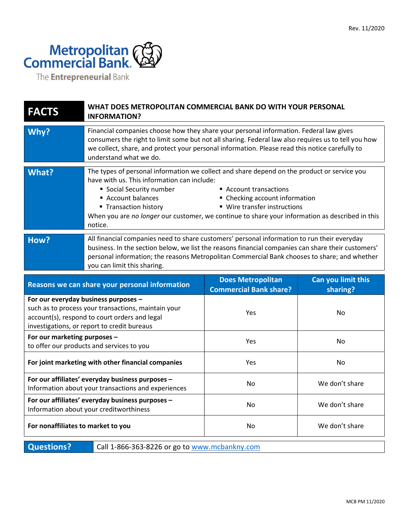

The **Entrepreneurial** Bank

| <b>FACTS</b>                                                                                                                                                                                | WHAT DOES METROPOLITAN COMMERCIAL BANK DO WITH YOUR PERSONAL<br><b>INFORMATION?</b>                                                                                                                                                                                                                                                                                                                                       |                                                           |                                |
|---------------------------------------------------------------------------------------------------------------------------------------------------------------------------------------------|---------------------------------------------------------------------------------------------------------------------------------------------------------------------------------------------------------------------------------------------------------------------------------------------------------------------------------------------------------------------------------------------------------------------------|-----------------------------------------------------------|--------------------------------|
| Why?                                                                                                                                                                                        | Financial companies choose how they share your personal information. Federal law gives<br>consumers the right to limit some but not all sharing. Federal law also requires us to tell you how<br>we collect, share, and protect your personal information. Please read this notice carefully to<br>understand what we do.                                                                                                 |                                                           |                                |
| What?                                                                                                                                                                                       | The types of personal information we collect and share depend on the product or service you<br>have with us. This information can include:<br>Social Security number<br>Account transactions<br>Account balances<br>• Checking account information<br>■ Wire transfer instructions<br>■ Transaction history<br>When you are no longer our customer, we continue to share your information as described in this<br>notice. |                                                           |                                |
| How?                                                                                                                                                                                        | All financial companies need to share customers' personal information to run their everyday<br>business. In the section below, we list the reasons financial companies can share their customers'<br>personal information; the reasons Metropolitan Commercial Bank chooses to share; and whether<br>you can limit this sharing.                                                                                          |                                                           |                                |
|                                                                                                                                                                                             | Reasons we can share your personal information                                                                                                                                                                                                                                                                                                                                                                            | <b>Does Metropolitan</b><br><b>Commercial Bank share?</b> | Can you limit this<br>sharing? |
| For our everyday business purposes -<br>such as to process your transactions, maintain your<br>account(s), respond to court orders and legal<br>investigations, or report to credit bureaus |                                                                                                                                                                                                                                                                                                                                                                                                                           |                                                           |                                |
|                                                                                                                                                                                             |                                                                                                                                                                                                                                                                                                                                                                                                                           | Yes                                                       | No                             |
| For our marketing purposes -                                                                                                                                                                | to offer our products and services to you                                                                                                                                                                                                                                                                                                                                                                                 | Yes                                                       | No                             |
|                                                                                                                                                                                             | For joint marketing with other financial companies                                                                                                                                                                                                                                                                                                                                                                        | Yes                                                       | No                             |
|                                                                                                                                                                                             | For our affiliates' everyday business purposes -<br>Information about your transactions and experiences                                                                                                                                                                                                                                                                                                                   | No                                                        | We don't share                 |
|                                                                                                                                                                                             | For our affiliates' everyday business purposes -<br>Information about your creditworthiness                                                                                                                                                                                                                                                                                                                               | No                                                        | We don't share                 |
| For nonaffiliates to market to you                                                                                                                                                          |                                                                                                                                                                                                                                                                                                                                                                                                                           | No                                                        | We don't share                 |